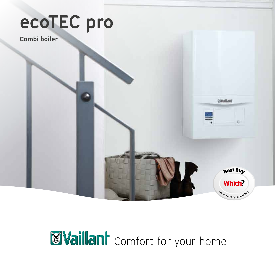# ecoTEC pro

Combi boiler

## **M** Vaillant comfort for your home

**Eivailant** 

 $\epsilon$ 

Best Buv

**Which?** 

Gas Boilers September 2018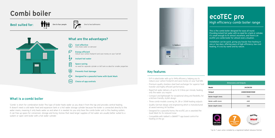## ecoTEC pro High efficiency combi boiler range

This is the combi boiler designed for ease all round. Providing instant hot water with no need for a tank or cylinder, it's small enough to fit almost anywhere, and there's an ecoTEC pro combi boiler for almost every situation.

Installation can be quick, giving you hassle-free heating in one or two days, offering years of high-efficiency, low-cost heating. It's eco by name and by nature.

| <b>Dimensions and Outputs</b> |                |
|-------------------------------|----------------|
| Model                         | 24/28/30       |
| Output                        | 24kW/28kW/30kW |
| Boiler height (mm)            | 720            |
| Boiler width (mm)             | 440            |
| Boiler depth (mm)             | 338            |

### Key features

- ErP A rated boiler with up to 94% efficiency, helping you to reduce your carbon footprint and save money on your fuel bills
- Premium quality stainless steel heat exchanger for superior heat transfer and highly efficient performance.
- Rapid hot water delivery of up to 12.3 litres per minute, heating only the water you require
- Compact and lightweight for exceptional siting and flexibility, for a kitchen-friendly, stylish design
- Three combi models covering 24, 28 or 30kW heating outputs
- Quality German design and engineering which is manufactured at award-winning UK facilities
- Designed for a peaceful home, the ecoTEC pro is awarded the Quiet Mark for its reduced noise
- Compatible with Vaillant's vSMART™ app based control for heating on the go

TÎii 1-4

One to four people  $\begin{bmatrix} 1 & 1 \\ 0 & 1 \end{bmatrix}$  One to two bathrooms

\*Up to 7 years when installed by a registered Vaillant Advance Partner



### What is a combi boiler

'Combi' is short for combination boiler. This type of boiler heats water as you draw it from the tap and provides central heating. It doesn't need a cold water feed and expansion tank or a hot water storage cylinder because the boiler is connected directly to the water mains, meaning it only heats water as and when it is needed. As you only have the combi boiler unit in this heating system, it can free up space for conversion, storage and living. Homes that need larger supplies of hot water are usually better suited to a system or open vent boiler with a hot water cylinder.



## Combi boiler

Best suited for:

## What are the advantages?

Cost effective  $(E)$ Only heats water on demand

> Energy efficient reduce your carbon footprint and save money on your fuel bill

#### Instant hot water

Space saving no need for separate cylinder or loft tank so ideal for smaller properties

- Prevents frost damage
- Designed for a peaceful home with Quiet Mark
- Choice of app controls

1-2

 $\varnothing$ 

いる

(米)

App